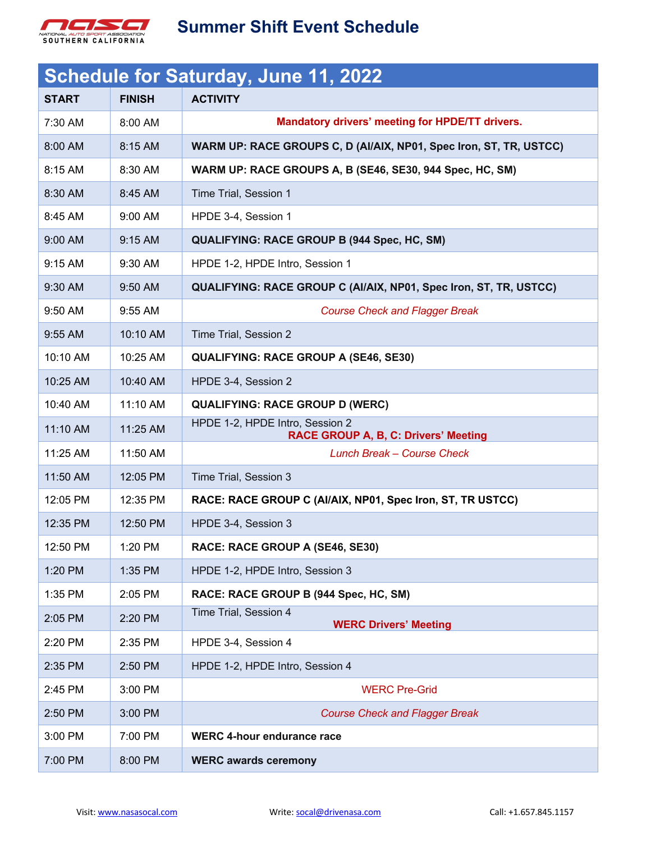

## **Summer Shift Event Schedule**

| Schedule for Saturday, June 11, 2022 |               |                                                                                |
|--------------------------------------|---------------|--------------------------------------------------------------------------------|
| <b>START</b>                         | <b>FINISH</b> | <b>ACTIVITY</b>                                                                |
| 7:30 AM                              | 8:00 AM       | Mandatory drivers' meeting for HPDE/TT drivers.                                |
| $8:00$ AM                            | 8:15 AM       | WARM UP: RACE GROUPS C, D (AI/AIX, NP01, Spec Iron, ST, TR, USTCC)             |
| 8:15 AM                              | 8:30 AM       | WARM UP: RACE GROUPS A, B (SE46, SE30, 944 Spec, HC, SM)                       |
| 8:30 AM                              | 8:45 AM       | Time Trial, Session 1                                                          |
| 8:45 AM                              | 9:00 AM       | HPDE 3-4, Session 1                                                            |
| 9:00 AM                              | 9:15 AM       | <b>QUALIFYING: RACE GROUP B (944 Spec, HC, SM)</b>                             |
| 9:15 AM                              | 9:30 AM       | HPDE 1-2, HPDE Intro, Session 1                                                |
| 9:30 AM                              | 9:50 AM       | QUALIFYING: RACE GROUP C (AI/AIX, NP01, Spec Iron, ST, TR, USTCC)              |
| 9:50 AM                              | $9:55$ AM     | <b>Course Check and Flagger Break</b>                                          |
| 9:55 AM                              | 10:10 AM      | Time Trial, Session 2                                                          |
| 10:10 AM                             | 10:25 AM      | <b>QUALIFYING: RACE GROUP A (SE46, SE30)</b>                                   |
| 10:25 AM                             | 10:40 AM      | HPDE 3-4, Session 2                                                            |
| 10:40 AM                             | 11:10 AM      | <b>QUALIFYING: RACE GROUP D (WERC)</b>                                         |
| 11:10 AM                             | 11:25 AM      | HPDE 1-2, HPDE Intro, Session 2<br><b>RACE GROUP A, B, C: Drivers' Meeting</b> |
| 11:25 AM                             | 11:50 AM      | Lunch Break - Course Check                                                     |
| 11:50 AM                             | 12:05 PM      | Time Trial, Session 3                                                          |
| 12:05 PM                             | 12:35 PM      | RACE: RACE GROUP C (AI/AIX, NP01, Spec Iron, ST, TR USTCC)                     |
| 12:35 PM                             | 12:50 PM      | HPDE 3-4, Session 3                                                            |
| 12:50 PM                             | 1:20 PM       | RACE: RACE GROUP A (SE46, SE30)                                                |
| 1:20 PM                              | 1:35 PM       | HPDE 1-2, HPDE Intro, Session 3                                                |
| 1:35 PM                              | 2:05 PM       | RACE: RACE GROUP B (944 Spec, HC, SM)                                          |
| 2:05 PM                              | 2:20 PM       | Time Trial, Session 4<br><b>WERC Drivers' Meeting</b>                          |
| 2:20 PM                              | 2:35 PM       | HPDE 3-4, Session 4                                                            |
| 2:35 PM                              | 2:50 PM       | HPDE 1-2, HPDE Intro, Session 4                                                |
| 2:45 PM                              | 3:00 PM       | <b>WERC Pre-Grid</b>                                                           |
| 2:50 PM                              | 3:00 PM       | <b>Course Check and Flagger Break</b>                                          |
| 3:00 PM                              | 7:00 PM       | <b>WERC 4-hour endurance race</b>                                              |
| 7:00 PM                              | 8:00 PM       | <b>WERC awards ceremony</b>                                                    |